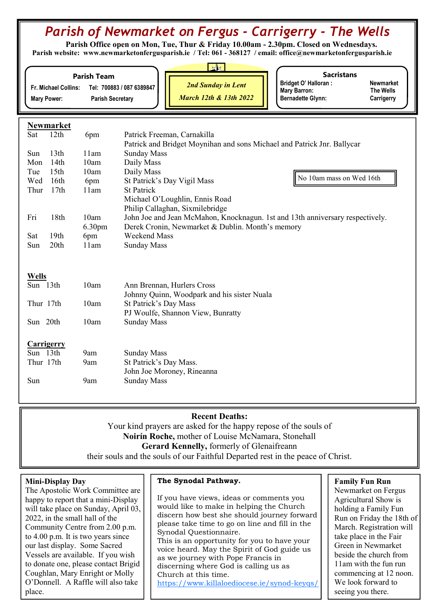# Parish of Newmarket on Fergus - Carrigerry - The Wells

Parish Office open on Mon, Tue, Thur & Friday 10.00am - 2.30pm. Closed on Wednesdays. Parish website: www.newmarketonfergusparish.ie / Tel: 061 - 368127 / email: office@newmarketonfergusparish.ie

#### Parish Team

Fr. Michael Collins: Tel: 700883 / 087 6389847 Mary Power: Parish Secretary

2nd Sunday in Lent

March 12th & 13th 2022

**Sacristans** 

Bridget O' Halloran : Newmarket<br>
Mary Barron: The Wells Mary Barron: Bernadette Glynn: Carrigerry

Newmarket

| Sat        | 12th             | 6pm                | Patrick Freeman, Carnakilla                                                   |                          |  |
|------------|------------------|--------------------|-------------------------------------------------------------------------------|--------------------------|--|
|            |                  |                    | Patrick and Bridget Moynihan and sons Michael and Patrick Jnr. Ballycar       |                          |  |
| <b>Sun</b> | 13 <sub>th</sub> | 11am               | <b>Sunday Mass</b>                                                            |                          |  |
| Mon        | 14th             | 10am               | Daily Mass                                                                    |                          |  |
| Tue        | 15th             | 10am               | Daily Mass                                                                    |                          |  |
| Wed        | 16th             | 6pm                | St Patrick's Day Vigil Mass                                                   | No 10am mass on Wed 16th |  |
| Thur       | 17th             | 11am               | <b>St Patrick</b>                                                             |                          |  |
|            |                  |                    | Michael O'Loughlin, Ennis Road                                                |                          |  |
|            |                  |                    | Philip Callaghan, Sixmilebridge                                               |                          |  |
| Fri        | 18th             | 10am               | John Joe and Jean McMahon, Knocknagun. 1st and 13th anniversary respectively. |                          |  |
|            |                  | 6.30 <sub>pm</sub> | Derek Cronin, Newmarket & Dublin. Month's memory                              |                          |  |
| Sat        | 19th             | 6pm                | Weekend Mass                                                                  |                          |  |
| Sun        | 20th             | 11am               | <b>Sunday Mass</b>                                                            |                          |  |

## Wells

| Sun 13th    | 10am | Ann Brennan, Hurlers Cross                  |  |  |
|-------------|------|---------------------------------------------|--|--|
|             |      | Johnny Quinn, Woodpark and his sister Nuala |  |  |
| Thur 17th   | 10am | St Patrick's Day Mass                       |  |  |
|             |      | PJ Woulfe, Shannon View, Bunratty           |  |  |
| Sun 20th    | 10am | <b>Sunday Mass</b>                          |  |  |
|             |      |                                             |  |  |
| Carrigerry  |      |                                             |  |  |
| $S11n$ 13th | 9am  | Sunday Mass                                 |  |  |

| Sun 13th  | 9am | <b>Sunday Mass</b>         |
|-----------|-----|----------------------------|
| Thur 17th | 9am | St Patrick's Day Mass.     |
|           |     | John Joe Moroney, Rineanna |
| Sun       | 9am | <b>Sunday Mass</b>         |
|           |     |                            |

## Recent Deaths:

Your kind prayers are asked for the happy repose of the souls of Noirín Roche, mother of Louise McNamara, Stonehall Gerard Kennelly, formerly of Glenaifreann

their souls and the souls of our Faithful Departed rest in the peace of Christ.

## Mini-Display Day

The Apostolic Work Committee are happy to report that a mini-Display will take place on Sunday, April 03, 2022, in the small hall of the Community Centre from 2.00 p.m. to 4.00 p.m. It is two years since our last display. Some Sacred Vessels are available. If you wish to donate one, please contact Brigid Coughlan, Mary Enright or Molly O'Donnell. A Raffle will also take place.

## The Synodal Pathway.

If you have views, ideas or comments you would like to make in helping the Church discern how best she should journey forward please take time to go on line and fill in the Synodal Questionnaire. This is an opportunity for you to have your voice heard. May the Spirit of God guide us as we journey with Pope Francis in discerning where God is calling us as Church at this time.

https://www.killaloediocese.ie/synod-keyqs/

## Family Fun Run

Newmarket on Fergus Agricultural Show is holding a Family Fun Run on Friday the 18th of March. Registration will take place in the Fair Green in Newmarket beside the church from 11am with the fun run commencing at 12 noon. We look forward to seeing you there.